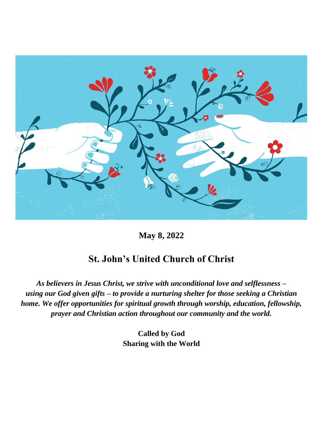

**May 8, 2022**

## **St. John's United Church of Christ**

*As believers in Jesus Christ, we strive with unconditional love and selflessness – using our God given gifts – to provide a nurturing shelter for those seeking a Christian home. We offer opportunities for spiritual growth through worship, education, fellowship, prayer and Christian action throughout our community and the world.*

> **Called by God Sharing with the World**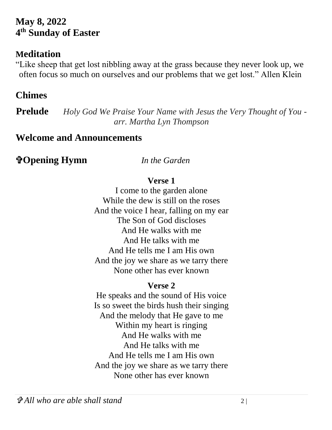## **May 8, 2022 4 th Sunday of Easter**

## **Meditation**

"Like sheep that get lost nibbling away at the grass because they never look up, we often focus so much on ourselves and our problems that we get lost." Allen Klein

## **Chimes**

**Prelude** *Holy God We Praise Your Name with Jesus the Very Thought of You arr. Martha Lyn Thompson*

## **Welcome and Announcements**

**Opening Hymn** *In the Garden*

#### **Verse 1**

I come to the garden alone While the dew is still on the roses And the voice I hear, falling on my ear The Son of God discloses And He walks with me And He talks with me And He tells me I am His own And the joy we share as we tarry there None other has ever known

#### **Verse 2**

He speaks and the sound of His voice Is so sweet the birds hush their singing And the melody that He gave to me Within my heart is ringing And He walks with me And He talks with me And He tells me I am His own And the joy we share as we tarry there None other has ever known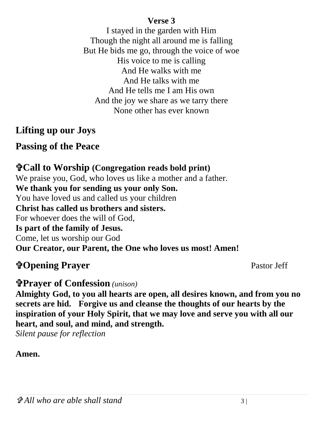#### **Verse 3**

I stayed in the garden with Him Though the night all around me is falling But He bids me go, through the voice of woe His voice to me is calling And He walks with me And He talks with me And He tells me I am His own And the joy we share as we tarry there None other has ever known

## **Lifting up our Joys**

## **Passing of the Peace**

# **Call to Worship (Congregation reads bold print)**

We praise you, God, who loves us like a mother and a father. **We thank you for sending us your only Son.** You have loved us and called us your children **Christ has called us brothers and sisters.** For whoever does the will of God, **Is part of the family of Jesus.** Come, let us worship our God **Our Creator, our Parent, the One who loves us most! Amen!** 

# **The Opening Prayer Server Exercise Server Server Server Server Server Server Server Server Server Server Server Server Server Server Server Server Server Server Server Server Server Server Server Server Server Server Serv**

## **Prayer of Confession** *(unison)*

**Almighty God, to you all hearts are open, all desires known, and from you no secrets are hid. Forgive us and cleanse the thoughts of our hearts by the inspiration of your Holy Spirit, that we may love and serve you with all our heart, and soul, and mind, and strength.** 

*Silent pause for reflection* 

#### **Amen.**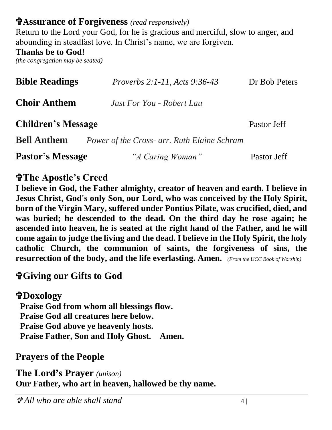## **Assurance of Forgiveness** *(read responsively)*

Return to the Lord your God, for he is gracious and merciful, slow to anger, and abounding in steadfast love. In Christ's name, we are forgiven.

#### **Thanks be to God!**

*(the congregation may be seated)*

| <b>Bible Readings</b>     | <i>Proverbs 2:1-11, Acts 9:36-43</i>        | Dr Bob Peters |
|---------------------------|---------------------------------------------|---------------|
| <b>Choir Anthem</b>       | Just For You - Robert Lau                   |               |
| <b>Children's Message</b> |                                             | Pastor Jeff   |
| <b>Bell Anthem</b>        | Power of the Cross- arr. Ruth Elaine Schram |               |
| <b>Pastor's Message</b>   | "A Caring Woman"                            | Pastor Jeff   |

## **The Apostle's Creed**

**I believe in God, the Father almighty, creator of heaven and earth. I believe in Jesus Christ, God's only Son, our Lord, who was conceived by the Holy Spirit, born of the Virgin Mary, suffered under Pontius Pilate, was crucified, died, and was buried; he descended to the dead. On the third day he rose again; he ascended into heaven, he is seated at the right hand of the Father, and he will come again to judge the living and the dead. I believe in the Holy Spirit, the holy catholic Church, the communion of saints, the forgiveness of sins, the resurrection of the body, and the life everlasting. Amen.** *(From the UCC Book of Worship)*

#### **Giving our Gifts to God**

**Doxology Praise God from whom all blessings flow. Praise God all creatures here below. Praise God above ye heavenly hosts. Praise Father, Son and Holy Ghost. Amen.** 

## **Prayers of the People**

**The Lord's Prayer** *(unison)* **Our Father, who art in heaven, hallowed be thy name.**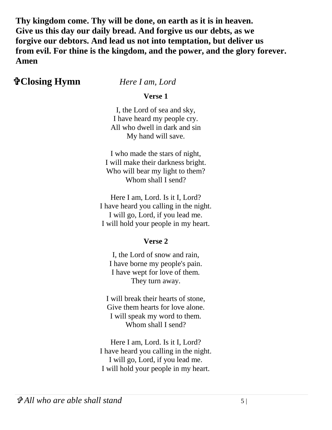**Thy kingdom come. Thy will be done, on earth as it is in heaven. Give us this day our daily bread. And forgive us our debts, as we forgive our debtors. And lead us not into temptation, but deliver us from evil. For thine is the kingdom, and the power, and the glory forever. Amen**

#### **Closing Hymn** *Here I am, Lord*

**Verse 1**

I, the Lord of sea and sky, I have heard my people cry. All who dwell in dark and sin My hand will save.

I who made the stars of night, I will make their darkness bright. Who will bear my light to them? Whom shall I send?

Here I am, Lord. Is it I, Lord? I have heard you calling in the night. I will go, Lord, if you lead me. I will hold your people in my heart.

#### **Verse 2**

I, the Lord of snow and rain, I have borne my people's pain. I have wept for love of them. They turn away.

I will break their hearts of stone, Give them hearts for love alone. I will speak my word to them. Whom shall I send?

Here I am, Lord. Is it I, Lord? I have heard you calling in the night. I will go, Lord, if you lead me. I will hold your people in my heart.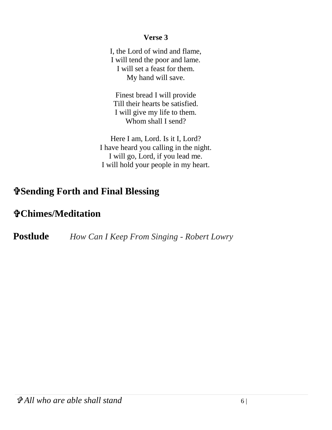#### **Verse 3**

I, the Lord of wind and flame, I will tend the poor and lame. I will set a feast for them. My hand will save.

Finest bread I will provide Till their hearts be satisfied. I will give my life to them. Whom shall I send?

Here I am, Lord. Is it I, Lord? I have heard you calling in the night. I will go, Lord, if you lead me. I will hold your people in my heart.

## **Sending Forth and Final Blessing**

## **Chimes/Meditation**

**Postlude** *How Can I Keep From Singing - Robert Lowry*